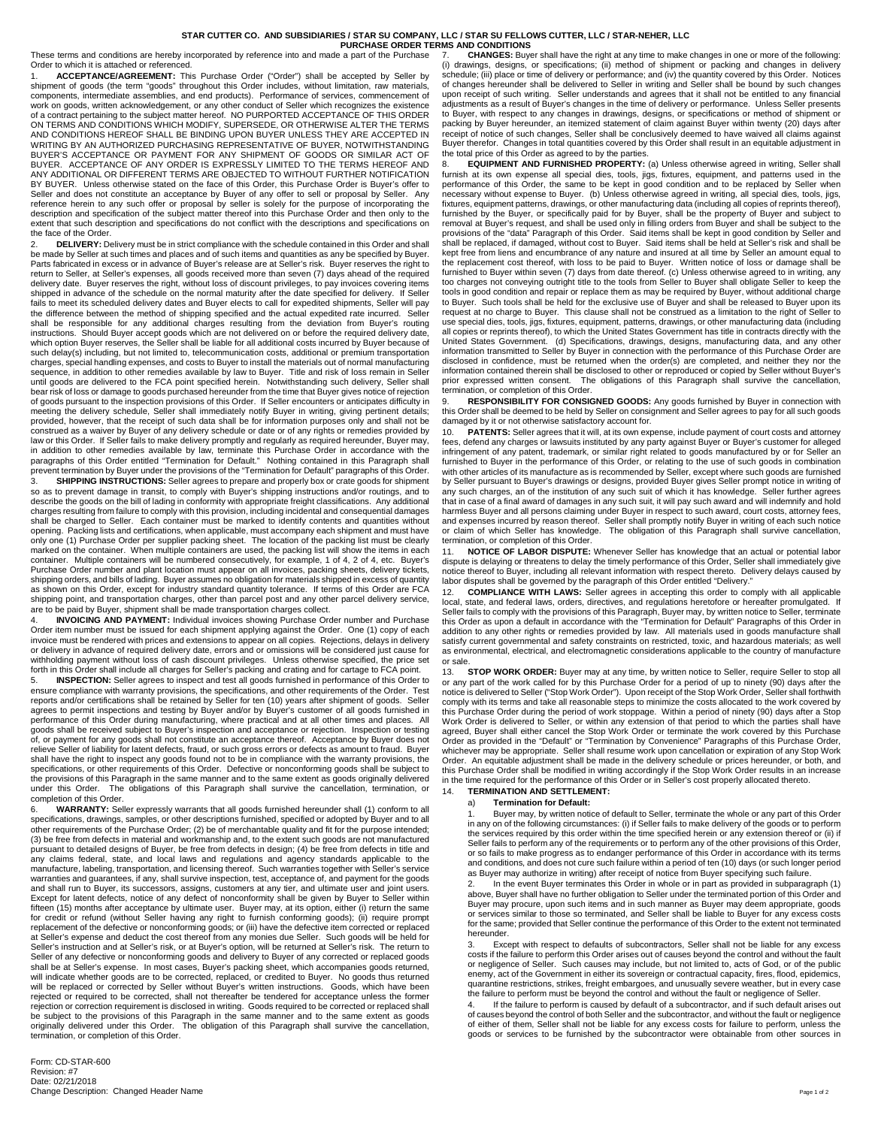## **STAR CUTTER CO. AND SUBSIDIARIES / STAR SU COMPANY, LLC / STAR SU FELLOWS CUTTER, LLC / STAR-NEHER, LLC**

**PURCHASE ORDER TERMS AND CONDITIONS**<br>P. A part of the Purchase 7 CHANGES: Buye These terms and conditions are hereby incorporated by reference into and made a part of the Purchase Order to which it is attached or referenced.

1. **ACCEPTANCE/AGREEMENT:** This Purchase Order ("Order") shall be accepted by Seller by shipment of goods (the term "goods" throughout this Order includes, without limitation, raw materials, components, intermediate assemblies, and end products). Performance of services, commencement of work on goods, written acknowledgement, or any other conduct of Seller which recognizes the existence of a contract pertaining to the subject matter hereof. NO PURPORTED ACCEPTANCE OF THIS ORDER<br>ON TERMS AND CONDITIONS WHICH MODIFY, SUPERSEDE, OR OTHERWISE ALTER THE TERMS AND CONDITIONS HEREOF SHALL BE BINDING UPON BUYER UNLESS THEY ARE ACCEPTED IN WRITING BY AN AUTHORIZED PURCHASING REPRESENTATIVE OF BUYER, NOTWITHSTANDING BUYER'S ACCEPTANCE OR PAYMENT FOR ANY SHIPMENT OF GOODS OR SIMILAR ACT OF BUYER. ACCEPTANCE OF ANY ORDER IS EXPRESSLY LIMITED TO THE TERMS HEREOF AND ANY ADDITIONAL OR DIFFERENT TERMS ARE OBJECTED TO WITHOUT FURTHER NOTIFICATION BY BUYER. Unless otherwise stated on the face of this Order, this Purchase Order is Buyer's offer to Seller and does not constitute an acceptance by Buyer of any offer to sell or proposal by Seller. Any<br>reference herein to any such offer or proposal by seller is solely for the purpose of incorporating the<br>description and extent that such description and specifications do not conflict with the descriptions and specifications on the face of the Order.

DELIVERY: Delivery must be in strict compliance with the schedule contained in this Order and shall be made by Seller at such times and places and of such items and quantities as any be specified by Buyer. Parts fabricated in excess or in advance of Buyer's release are at Seller's risk. Buyer reserves the right to return to Seller, at Seller's expenses, all goods received more than seven (7) days ahead of the required delivery date. Buyer reserves the right, without loss of discount privileges, to pay invoices covering items shipped in advance of the schedule on the normal maturity after the date specified for delivery. If Seller fails to meet its scheduled delivery dates and Buyer elects to call for expedited shipments, Seller will pay the difference between the method of shipping specified and the actual expedited rate incurred. Seller shall be responsible for any additional charges resulting from the deviation from Buyer's routing instructions. Should Buyer accept goods which are not delivered on or before the required delivery date, which option Buyer reserves, the Seller shall be liable for all additional costs incurred by Buyer because of such delay(s) including, but not limited to, telecommunication costs, additional or premium transportation charges, special handling expenses, and costs to Buyer to install the materials out of normal manufacturing sequence, in addition to other remedies available by law to Buyer. Title and risk of loss remain in Seller until goods are delivered to the FCA point specified herein. Notwithstanding such delivery, Seller shall bear risk of loss or damage to goods purchased hereunder from the time that Buyer gives notice of rejection of goods pursuant to the inspection provisions of this Order. If Seller encounters or anticipates difficulty in meeting the delivery schedule, Seller shall immediately notify Buyer in writing, giving pertinent details; provided, however, that the receipt of such data shall be for information purposes only and shall not be construed as a waiver by Buyer of any delivery schedule or date or of any rights or remedies provided by law or this Order. If Seller fails to make delivery promptly and regularly as required hereunder, Buyer may, in addition to other remedies available by law, terminate this Purchase Order in accordance with the paragraphs of this Order entitled "Termination for Default." Nothing contained in this Paragraph shall prevent termination by Buyer under the provisions of the "Termination for Default" paragraphs of this Order.

3. **SHIPPING INSTRUCTIONS:** Seller agrees to prepare and properly box or crate goods for shipment so as to prevent damage in transit, to comply with Buyer's shipping instructions and/or routings, and to describe the goods on the bill of lading in conformity with appropriate freight classifications. Any additional charges resulting from failure to comply with this provision, including incidental and consequential damages shall be charged to Seller. Each container must be marked to identify contents and quantities without opening. Packing lists and certifications, when applicable, must accompany each shipment and must have only one (1) Purchase Order per supplier packing sheet. The location of the packing list must be clearly marked on the container. When multiple containers are used, the packing list will show the items in each container. Multiple containers will be numbered consecutively, for example, 1 of 4, 2 of 4, etc. Buyer's Purchase Order number and plant location must appear on all invoices, packing sheets, delivery tickets, shipping orders, and bills of lading. Buyer assumes no obligation for materials shipped in excess of quantity as shown on this Order, except for industry standard quantity tolerance. If terms of this Order are FCA shipping point, and transportation charges, other than parcel post and any other parcel delivery service, are to be paid by Buyer, shipment shall be made transportation charges collect.

**INVOICING AND PAYMENT:** Individual invoices showing Purchase Order number and Purchase Order item number must be issued for each shipment applying against the Order. One (1) copy of each invoice must be rendered with prices and extensions to appear on all copies. Rejections, delays in delivery or delivery in advance of required delivery date, errors and or omissions will be considered just cause for withholding payment without loss of cash discount privileges. Unless otherwise specified, the price set forth in this Order shall include all charges for Seller's packing and crating and for cartage to FCA point.

5. **INSPECTION:** Seller agrees to inspect and test all goods furnished in performance of this Order to ensure compliance with warranty provisions, the specifications, and other requirements of the Order. Test<br>reports and/or certifications shall be retained by Seller for ten (10) years after shipment of goods. Seller<br>agree performance of this Order during manufacturing, where practical and at all other times and places. All goods shall be received subject to Buyer's inspection and acceptance or rejection. Inspection or testing of, or payment for any goods shall not constitute an acceptance thereof. Acceptance by Buyer does not relieve Seller of liability for latent defects, fraud, or such gross errors or defects as amount to fraud. Buyer shall have the right to inspect any goods found not to be in compliance with the warranty provisions, the specifications, or other requirements of this Order. Defective or nonconforming goods shall be subject to the provisions of this Paragraph in the same manner and to the same extent as goods originally delivered under this Order. The obligations of this Paragraph shall survive the cancellation, termination, or completion of this Order. The completion of this Order.

6. **WARRANTY:** Seller expressly warrants that all goods furnished hereunder shall (1) conform to all specifications, drawings, samples, or other descriptions furnished, specified or adopted by Buyer and to all other requirements of the Purchase Order; (2) be of merchantable quality and fit for the purpose intended; (3) be free from defects in material and workmanship and, to the extent such goods are not manufactured pursuant to detailed designs of Buyer, be free from defects in design; (4) be free from defects in title and any claims federal, state, and local laws and regulations and agency standards applicable to the manufacture, labeling, transportation, and licensing thereof. Such warranties together with Seller's service warranties and guarantees, if any, shall survive inspection, test, acceptance of, and payment for the goods and shall run to Buyer, its successors, assigns, customers at any tier, and ultimate user and joint users. Except for latent defects, notice of any defect of nonconformity shall be given by Buyer to Seller within fifteen (15) months after acceptance by ultimate user. Buyer may, at its option, either (i) return the same<br>for credit or refund (without Seller having any right to furnish conforming goods); (ii) require prompt<br>replaceme at Seller's expense and deduct the cost thereof from any monies due Seller. Such goods will be held for Seller's instruction and at Seller's risk, or at Buyer's option, will be returned at Seller's risk. The return to Seller of any defective or nonconforming goods and delivery to Buyer of any corrected or replaced goods shall be at Seller's expense. In most cases, Buyer's packing sheet, which accompanies goods returned,<br>will indicate whether goods are to be corrected, replaced, or credited to Buyer. No goods thus returned<br>will be replaced rejection or correction requirement is disclosed in writing. Goods required to be corrected or replaced shall be subject to the provisions of this Paragraph in the same manner and to the same extent as goods originally delivered under this Order. The obligation of this Paragraph shall survive the cancellation, termination, or completion of this Order.

7. **CHANGES:** Buyer shall have the right at any time to make changes in one or more of the following: (i) drawings, designs, or specifications; (ii) method of shipment or packing and changes in delivery schedule; (iii) place or time of delivery or performance; and (iv) the quantity covered by this Order. Notices of changes hereunder shall be delivered to Seller in writing and Seller shall be bound by such changes upon receipt of such writing. Seller understands and agrees that it shall not be entitled to any financial adjustments as a result of Buyer's changes in the time of delivery or performance. Unless Seller presents to Buyer, with respect to any changes in drawings, designs, or specifications or method of shipment or packing by Buyer hereunder, an itemized statement of claim against Buyer within twenty (20) days after receipt of notice of such changes, Seller shall be conclusively deemed to have waived all claims against Buyer therefor. Changes in total quantities covered by this Order shall result in an equitable adjustment in the total price of this Order as agreed to by the parties.

# **EQUIPMENT AND FURNISHED PROPERTY:** (a) Unless otherwise agreed in writing, Seller shall furnish at its own expense all special dies, tools, jigs, fixtures, equipment, and patterns used in the performance of this Order, the same to be kept in good condition and to be replaced by Seller when necessary without expense to Buyer. (b) Unless otherwise agreed in writing, all special dies, tools, jigs, fixtures, equipment patterns, drawings, or other manufacturing data (including all copies of reprints thereof), furnished by the Buyer, or specifically paid for by Buyer, shall be the property of Buyer and subject to<br>removal at Buyer's request, and shall be used only in filling orders from Buyer and shall be subject to the<br>provision shall be replaced, if damaged, without cost to Buyer. Said items shall be held at Seller's risk and shall be<br>kept free from liens and encumbrance of any nature and insured at all time by Seller an amount equal to the replacement cost thereof, with loss to be paid to Buyer. Written notice of loss or damage shall be furnished to Buyer within seven (7) days from date thereof. (c) Unless otherwise agreed to in writing, any too charges not conveying outright title to the tools from Seller to Buyer shall obligate Seller to keep the tools in good condition and repair or replace them as may be required by Buyer, without additional charge to Buyer. Such tools shall be held for the exclusive use of Buyer and shall be released to Buyer upon its request at no charge to Buyer. This clause shall not be construed as a limitation to the right of Seller to use special dies, tools, jigs, fixtures, equipment, patterns, drawings, or other manufacturing data (including all copies or reprints thereof), to which the United States Government has title in contracts directly with the United States Government. (d) Specifications, drawings, designs, manufacturing data, and any other information transmitted to Seller by Buyer in connection with the performance of this Purchase Order are disclosed in confidence, must be returned when the order(s) are completed, and neither they nor the information contained therein shall be disclosed to other or reproduced or copied by Seller without Buyer's prior expressed written consent. The obligations of this Paragraph shall survive the cancellation, termination, or completion of this Order.

RESPONSIBILITY FOR CONSIGNED GOODS: Any goods furnished by Buyer in connection with this Order shall be deemed to be held by Seller on consignment and Seller agrees to pay for all such goods damaged by it or not otherwise satisfactory account for.

10. **PATENTS:** Seller agrees that it will, at its own expense, include payment of court costs and attorney fees, defend any charges or lawsuits instituted by any party against Buyer or Buyer's customer for alleged infringement of any patent, trademark, or similar right related to goods manufactured by or for Seller an furnished to Buyer in the performance of this Order, or relating to the use of such goods in combination with other articles of its manufacture as is recommended by Seller, except where such goods are furnished by Seller pursuant to Buyer's drawings or designs, provided Buyer gives Seller prompt notice in writing of any such charges, an of the institution of any such suit of which it has knowledge. Seller further agrees that in case of a final award of damages in any such suit, it will pay such award and will indemnify and hold harmless Buyer and all persons claiming under Buyer in respect to such award, court costs, attorney fees, and expenses incurred by reason thereof. Seller shall promptly notify Buyer in writing of each such notice or claim of which Seller has knowledge. The obligation of this Paragraph shall survive cancellation, termination, or completion of this Order.

NOTICE OF LABOR DISPUTE: Whenever Seller has knowledge that an actual or potential labor dispute is delaying or threatens to delay the timely performance of this Order, Seller shall immediately give notice thereof to Buyer, including all relevant information with respect thereto. Delivery delays caused by labor disputes shall be governed by the paragraph of this Order entitled "Delivery."

12. COMPLIANCE WITH LAWS: Seller agrees in accepting this order to comply with all applicable<br>local, state, and federal laws, orders, directives, and regulations heretofore or hereafter promulgated. If Seller fails to comply with the provisions of this Paragraph, Buyer may, by written notice to Seller, terminate this Order as upon a default in accordance with the "Termination for Default" Paragraphs of this Order in addition to any other rights or remedies provided by law. All materials used in goods manufacture shall satisfy current governmental and safety constraints on restricted, toxic, and hazardous materials; as well as environmental, electrical, and electromagnetic considerations applicable to the country of manufacture or sale.

13. **STOP WORK ORDER:** Buyer may at any time, by written notice to Seller, require Seller to stop all or any part of the work called for by this Purchase Order for a period of up to ninety (90) days after the notice is delivered to Seller ("Stop Work Order"). Upon receipt of the Stop Work Order, Seller shall forthwith comply with its terms and take all reasonable steps to minimize the costs allocated to the work covered by this Purchase Order during the period of work stoppage. Within a period of ninety (90) days after a Stop Work Order is delivered to Seller, or within any extension of that period to which the parties shall have agreed, Buyer shall either cancel the Stop Work Order or terminate the work covered by this Purchase<br>Order as provided in the "Default" or "Termination by Convenience" Paragraphs of this Purchase Order, whichever may be appropriate. Seller shall resume work upon cancellation or expiration of any Stop Work Order. An equitable adjustment shall be made in the delivery schedule or prices hereunder, or both, and this Purchase Order shall be modified in writing accordingly if the Stop Work Order results in an increase in the time required for the performance of this Order or in Seller's cost properly allocated thereto.

## 14. **TERMINATION AND SETTLEMENT:**

### a) **Termination for Default:**

Buyer may, by written notice of default to Seller, terminate the whole or any part of this Order in any on of the following circumstances: (i) if Seller fails to make delivery of the goods or to perform the services required by this order within the time specified herein or any extension thereof or (ii) if Seller fails to perform any of the requirements or to perform any of the other provisions of this Order,<br>or so fails to make progress as to endanger performance of this Order in accordance with its terms and conditions, and does not cure such failure within a period of ten (10) days (or such longer period as Buyer may authorize in writing) after receipt of notice from Buyer specifying such failure.<br>2 **by the about Buyer terminates this Order in whole or in part as provided in subparague** 

2. In the event Buyer terminates this Order in whole or in part as provided in subparagraph (1) above, Buyer shall have no further obligation to Seller under the terminated portion of this Order and Buyer may procure, upon such items and in such manner as Buyer may deem appropriate, goods or services similar to those so terminated, and Seller shall be liable to Buyer for any excess costs for the same; provided that Seller continue the performance of this Order to the extent not terminated hereunder.

3. Except with respect to defaults of subcontractors, Seller shall not be liable for any excess costs if the failure to perform this Order arises out of causes beyond the control and without the fault or negligence of Seller. Such causes may include, but not limited to, acts of God, or of the public enemy, act of the Government in either its sovereign or contractual capacity, fires, flood, epidemics, quarantine restrictions, strikes, freight embargoes, and unusually severe weather, but in every case the failure to perform must be beyond the control and without the fault or negligence of Seller.

4. If the failure to perform is caused by default of a subcontractor, and if such default arises out of causes beyond the control of both Seller and the subcontractor, and without the fault or negligence of either of them, Seller shall not be liable for any excess costs for failure to perform, unless the goods or services to be furnished by the subcontractor were obtainable from other sources in